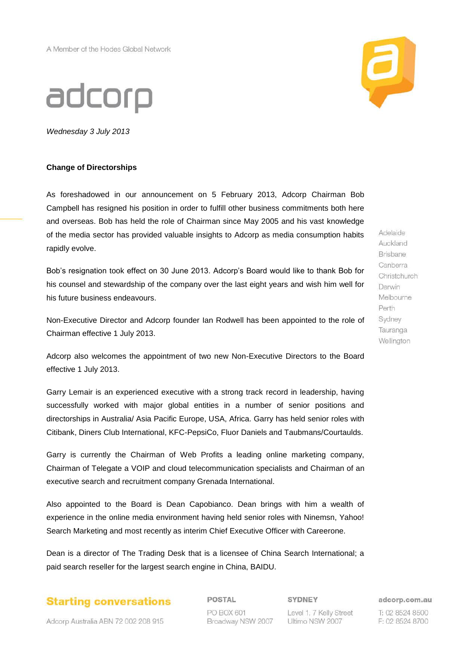## adcorp

*Wednesday 3 July 2013*

## **Change of Directorships**

As foreshadowed in our announcement on 5 February 2013, Adcorp Chairman Bob Campbell has resigned his position in order to fulfill other business commitments both here and overseas. Bob has held the role of Chairman since May 2005 and his vast knowledge of the media sector has provided valuable insights to Adcorp as media consumption habits rapidly evolve.

Bob's resignation took effect on 30 June 2013. Adcorp's Board would like to thank Bob for his counsel and stewardship of the company over the last eight years and wish him well for his future business endeavours.

Non-Executive Director and Adcorp founder Ian Rodwell has been appointed to the role of Chairman effective 1 July 2013.

Adcorp also welcomes the appointment of two new Non-Executive Directors to the Board effective 1 July 2013.

Garry Lemair is an experienced executive with a strong track record in leadership, having successfully worked with major global entities in a number of senior positions and directorships in Australia/ Asia Pacific Europe, USA, Africa. Garry has held senior roles with Citibank, Diners Club International, KFC-PepsiCo, Fluor Daniels and Taubmans/Courtaulds.

Garry is currently the Chairman of Web Profits a leading online marketing company, Chairman of Telegate a VOIP and cloud telecommunication specialists and Chairman of an executive search and recruitment company Grenada International.

Also appointed to the Board is Dean Capobianco. Dean brings with him a wealth of experience in the online media environment having held senior roles with Ninemsn, Yahoo! Search Marketing and most recently as interim Chief Executive Officer with Careerone.

Dean is a director of The Trading Desk that is a licensee of China Search International; a paid search reseller for the largest search engine in China, BAIDU.



POSTAL PO BOX 601 Broadway NSW 2007 SYDNEY Level 1, 7 Kelly Street Ultimo NSW 2007

adcorp.com.au

T: 02 8524 8500 F: 02 8524 8700

Adelaide Auckland Brisbane Canberra Christchurch Darwin Melbourne Perth Sydney Tauranga Wellington



Adcorp Australia ABN 72 002 208 915